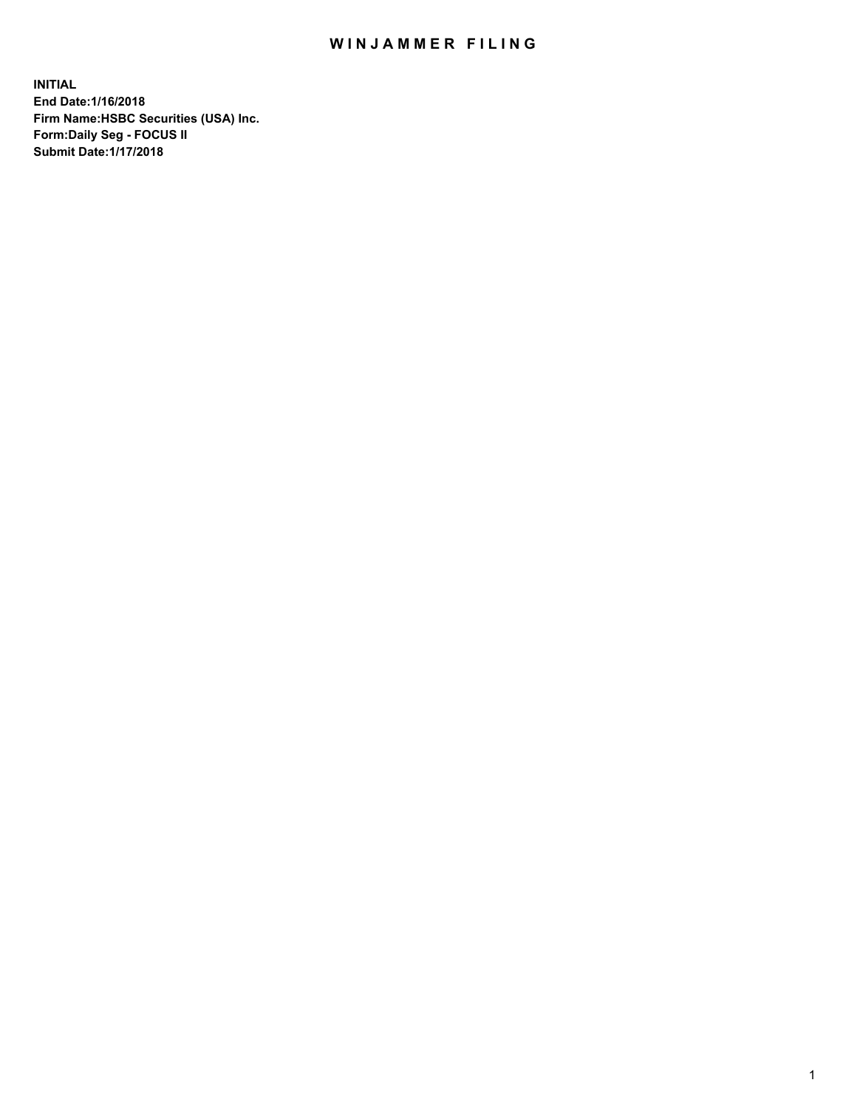## WIN JAMMER FILING

**INITIAL End Date:1/16/2018 Firm Name:HSBC Securities (USA) Inc. Form:Daily Seg - FOCUS II Submit Date:1/17/2018**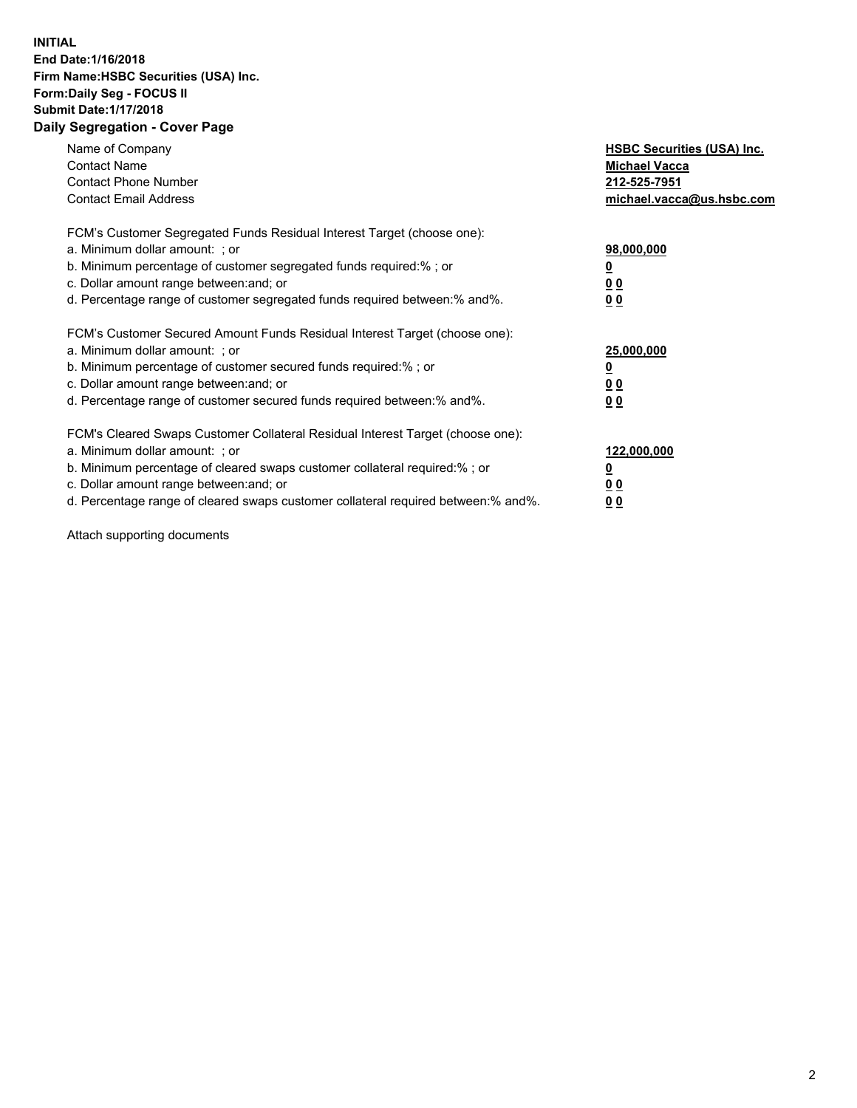## **INITIAL End Date:1/16/2018 Firm Name:HSBC Securities (USA) Inc. Form:Daily Seg - FOCUS II Submit Date:1/17/2018 Daily Segregation - Cover Page**

| Name of Company<br><b>Contact Name</b><br><b>Contact Phone Number</b><br><b>Contact Email Address</b>                                                                                                                                                                                                                         | <b>HSBC Securities (USA) Inc.</b><br><b>Michael Vacca</b><br>212-525-7951<br>michael.vacca@us.hsbc.com |
|-------------------------------------------------------------------------------------------------------------------------------------------------------------------------------------------------------------------------------------------------------------------------------------------------------------------------------|--------------------------------------------------------------------------------------------------------|
| FCM's Customer Segregated Funds Residual Interest Target (choose one):<br>a. Minimum dollar amount: ; or<br>b. Minimum percentage of customer segregated funds required:%; or<br>c. Dollar amount range between: and; or<br>d. Percentage range of customer segregated funds required between: % and %.                       | 98,000,000<br><u>0</u><br><u>00</u><br>00                                                              |
| FCM's Customer Secured Amount Funds Residual Interest Target (choose one):<br>a. Minimum dollar amount: ; or<br>b. Minimum percentage of customer secured funds required:%; or<br>c. Dollar amount range between: and; or<br>d. Percentage range of customer secured funds required between: % and %.                         | 25,000,000<br><u>0</u><br><u>00</u><br>00                                                              |
| FCM's Cleared Swaps Customer Collateral Residual Interest Target (choose one):<br>a. Minimum dollar amount: ; or<br>b. Minimum percentage of cleared swaps customer collateral required:%; or<br>c. Dollar amount range between: and; or<br>d. Percentage range of cleared swaps customer collateral required between:% and%. | 122,000,000<br><u>0</u><br><u>00</u><br><u>00</u>                                                      |

Attach supporting documents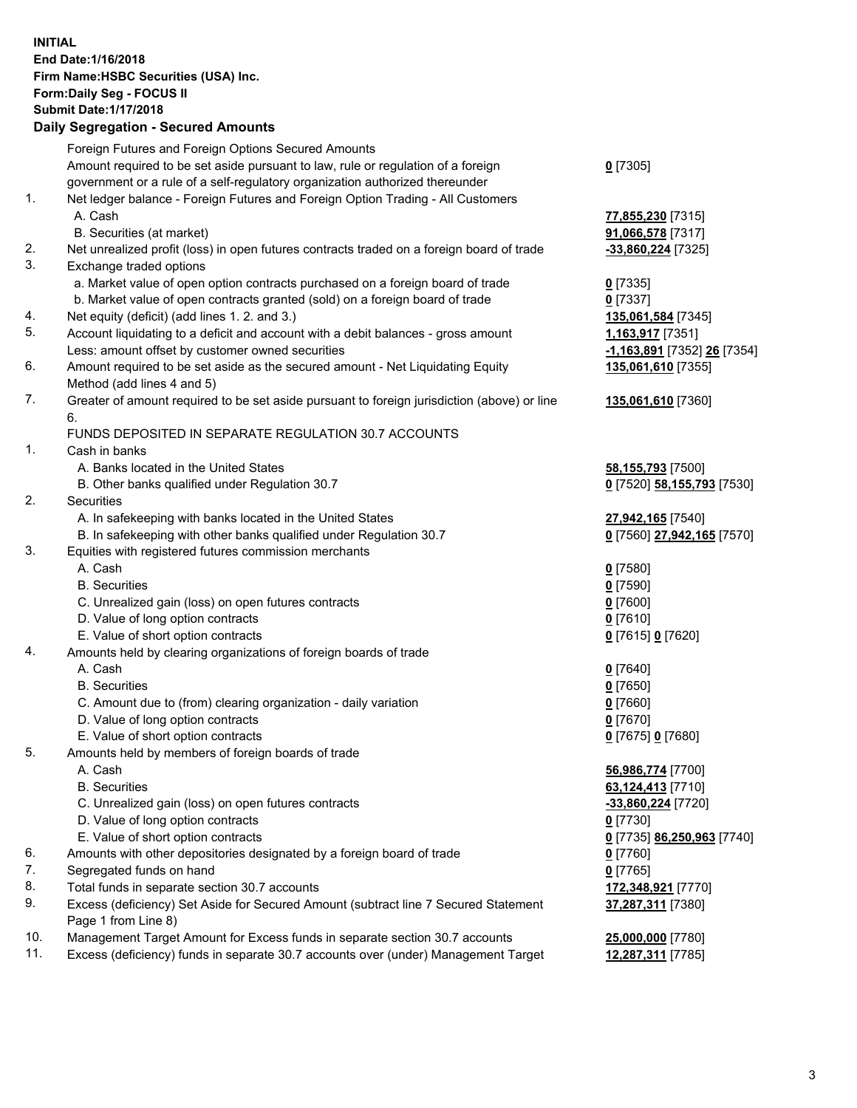**INITIAL End Date:1/16/2018 Firm Name:HSBC Securities (USA) Inc. Form:Daily Seg - FOCUS II Submit Date:1/17/2018 Daily Segregation - Secured Amounts** Foreign Futures and Foreign Options Secured Amounts Amount required to be set aside pursuant to law, rule or regulation of a foreign government or a rule of a self-regulatory organization authorized thereunder **0** [7305] 1. Net ledger balance - Foreign Futures and Foreign Option Trading - All Customers A. Cash **77,855,230** [7315] B. Securities (at market) **91,066,578** [7317] 2. Net unrealized profit (loss) in open futures contracts traded on a foreign board of trade **-33,860,224** [7325] 3. Exchange traded options a. Market value of open option contracts purchased on a foreign board of trade **0** [7335] b. Market value of open contracts granted (sold) on a foreign board of trade **0** [7337] 4. Net equity (deficit) (add lines 1. 2. and 3.) **135,061,584** [7345] 5. Account liquidating to a deficit and account with a debit balances - gross amount **1,163,917** [7351] Less: amount offset by customer owned securities **-1,163,891** [7352] **26** [7354] 6. Amount required to be set aside as the secured amount - Net Liquidating Equity Method (add lines 4 and 5) **135,061,610** [7355] 7. Greater of amount required to be set aside pursuant to foreign jurisdiction (above) or line 6. **135,061,610** [7360] FUNDS DEPOSITED IN SEPARATE REGULATION 30.7 ACCOUNTS 1. Cash in banks A. Banks located in the United States **58,155,793** [7500] B. Other banks qualified under Regulation 30.7 **0** [7520] **58,155,793** [7530] 2. Securities A. In safekeeping with banks located in the United States **27,942,165** [7540] B. In safekeeping with other banks qualified under Regulation 30.7 **0** [7560] **27,942,165** [7570] 3. Equities with registered futures commission merchants A. Cash **0** [7580] B. Securities **0** [7590] C. Unrealized gain (loss) on open futures contracts **0** [7600] D. Value of long option contracts **0** [7610] E. Value of short option contracts **0** [7615] **0** [7620] 4. Amounts held by clearing organizations of foreign boards of trade A. Cash **0** [7640] B. Securities **0** [7650] C. Amount due to (from) clearing organization - daily variation **0** [7660] D. Value of long option contracts **0** [7670] E. Value of short option contracts **0** [7675] **0** [7680] 5. Amounts held by members of foreign boards of trade A. Cash **56,986,774** [7700] B. Securities **63,124,413** [7710] C. Unrealized gain (loss) on open futures contracts **-33,860,224** [7720] D. Value of long option contracts **0** [7730]

- 
- E. Value of short option contracts **0** [7735] **86,250,963** [7740]
- 6. Amounts with other depositories designated by a foreign board of trade **0** [7760]
- 7. Segregated funds on hand **0** [7765]
- 8. Total funds in separate section 30.7 accounts **172,348,921** [7770]
- 9. Excess (deficiency) Set Aside for Secured Amount (subtract line 7 Secured Statement Page 1 from Line 8)
- 10. Management Target Amount for Excess funds in separate section 30.7 accounts **25,000,000** [7780]
- 11. Excess (deficiency) funds in separate 30.7 accounts over (under) Management Target **12,287,311** [7785]

**37,287,311** [7380]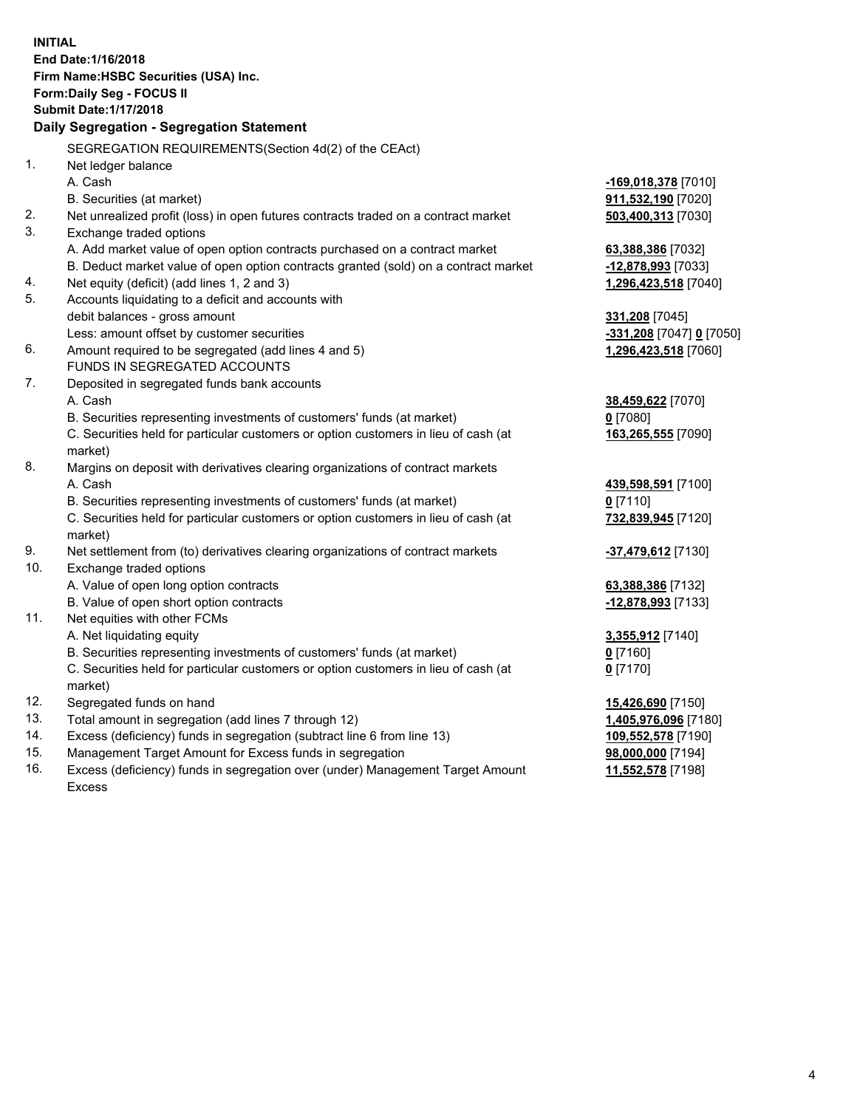**INITIAL End Date:1/16/2018 Firm Name:HSBC Securities (USA) Inc. Form:Daily Seg - FOCUS II Submit Date:1/17/2018 Daily Segregation - Segregation Statement** SEGREGATION REQUIREMENTS(Section 4d(2) of the CEAct) 1. Net ledger balance A. Cash **-169,018,378** [7010] B. Securities (at market) **911,532,190** [7020] 2. Net unrealized profit (loss) in open futures contracts traded on a contract market **503,400,313** [7030] 3. Exchange traded options A. Add market value of open option contracts purchased on a contract market **63,388,386** [7032] B. Deduct market value of open option contracts granted (sold) on a contract market **-12,878,993** [7033] 4. Net equity (deficit) (add lines 1, 2 and 3) **1,296,423,518** [7040] 5. Accounts liquidating to a deficit and accounts with debit balances - gross amount **331,208** [7045] Less: amount offset by customer securities **-331,208** [7047] **0** [7050] 6. Amount required to be segregated (add lines 4 and 5) **1,296,423,518** [7060] FUNDS IN SEGREGATED ACCOUNTS 7. Deposited in segregated funds bank accounts A. Cash **38,459,622** [7070] B. Securities representing investments of customers' funds (at market) **0** [7080] C. Securities held for particular customers or option customers in lieu of cash (at market) **163,265,555** [7090] 8. Margins on deposit with derivatives clearing organizations of contract markets A. Cash **439,598,591** [7100] B. Securities representing investments of customers' funds (at market) **0** [7110] C. Securities held for particular customers or option customers in lieu of cash (at market) **732,839,945** [7120] 9. Net settlement from (to) derivatives clearing organizations of contract markets **-37,479,612** [7130] 10. Exchange traded options A. Value of open long option contracts **63,388,386** [7132] B. Value of open short option contracts **-12,878,993** [7133] 11. Net equities with other FCMs A. Net liquidating equity **3,355,912** [7140] B. Securities representing investments of customers' funds (at market) **0** [7160] C. Securities held for particular customers or option customers in lieu of cash (at market) **0** [7170] 12. Segregated funds on hand **15,426,690** [7150] 13. Total amount in segregation (add lines 7 through 12) **1,405,976,096** [7180] 14. Excess (deficiency) funds in segregation (subtract line 6 from line 13) **109,552,578** [7190] 15. Management Target Amount for Excess funds in segregation **98,000,000** [7194]

16. Excess (deficiency) funds in segregation over (under) Management Target Amount Excess

**11,552,578** [7198]